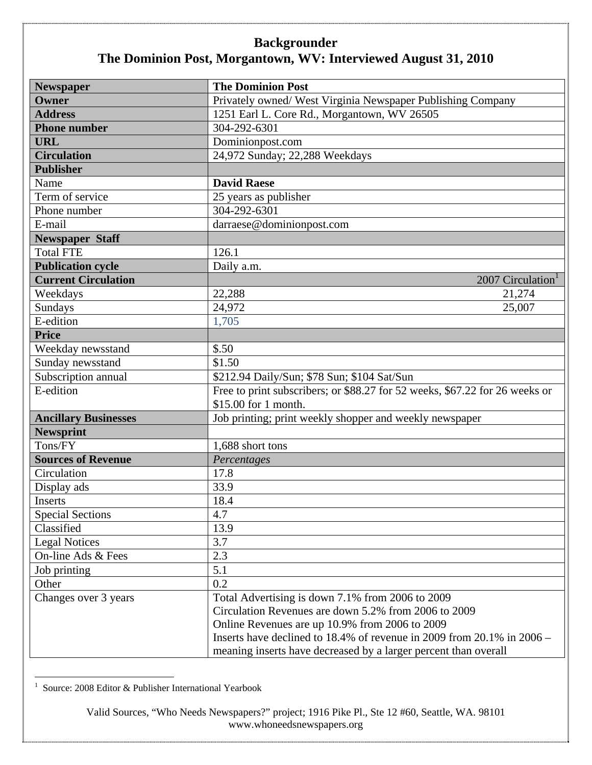| <b>Newspaper</b>            | <b>The Dominion Post</b>                                                    |
|-----------------------------|-----------------------------------------------------------------------------|
| Owner                       | Privately owned/ West Virginia Newspaper Publishing Company                 |
| <b>Address</b>              | 1251 Earl L. Core Rd., Morgantown, WV 26505                                 |
| <b>Phone number</b>         | 304-292-6301                                                                |
| <b>URL</b>                  | Dominionpost.com                                                            |
| <b>Circulation</b>          | 24,972 Sunday; 22,288 Weekdays                                              |
| <b>Publisher</b>            |                                                                             |
| Name                        | <b>David Raese</b>                                                          |
| Term of service             | 25 years as publisher                                                       |
| Phone number                | 304-292-6301                                                                |
| E-mail                      | darraese@dominionpost.com                                                   |
| <b>Newspaper Staff</b>      |                                                                             |
| <b>Total FTE</b>            | 126.1                                                                       |
| <b>Publication cycle</b>    | Daily a.m.                                                                  |
| <b>Current Circulation</b>  | 2007 Circulation <sup>1</sup>                                               |
| Weekdays                    | 22,288<br>21,274                                                            |
| Sundays                     | 24,972<br>25,007                                                            |
| E-edition                   | 1,705                                                                       |
| <b>Price</b>                |                                                                             |
| Weekday newsstand           | \$.50                                                                       |
| Sunday newsstand            | \$1.50                                                                      |
| Subscription annual         | \$212.94 Daily/Sun; \$78 Sun; \$104 Sat/Sun                                 |
| E-edition                   | Free to print subscribers; or \$88.27 for 52 weeks, \$67.22 for 26 weeks or |
|                             | \$15.00 for 1 month.                                                        |
| <b>Ancillary Businesses</b> | Job printing; print weekly shopper and weekly newspaper                     |
| <b>Newsprint</b>            |                                                                             |
| Tons/FY                     | 1,688 short tons                                                            |
| <b>Sources of Revenue</b>   | Percentages                                                                 |
| Circulation                 | 17.8                                                                        |
| Display ads                 | 33.9                                                                        |
| <b>Inserts</b>              | 18.4                                                                        |
| <b>Special Sections</b>     | 4.7                                                                         |
| Classified                  | 13.9                                                                        |
| <b>Legal Notices</b>        | 3.7                                                                         |
| On-line Ads & Fees          | 2.3                                                                         |
| Job printing                | 5.1                                                                         |
| Other                       | 0.2                                                                         |
| Changes over 3 years        | Total Advertising is down 7.1% from 2006 to 2009                            |
|                             | Circulation Revenues are down 5.2% from 2006 to 2009                        |
|                             | Online Revenues are up 10.9% from 2006 to 2009                              |
|                             | Inserts have declined to $18.4\%$ of revenue in 2009 from 20.1% in 2006 –   |
|                             | meaning inserts have decreased by a larger percent than overall             |

 1 Source: 2008 Editor & Publisher International Yearbook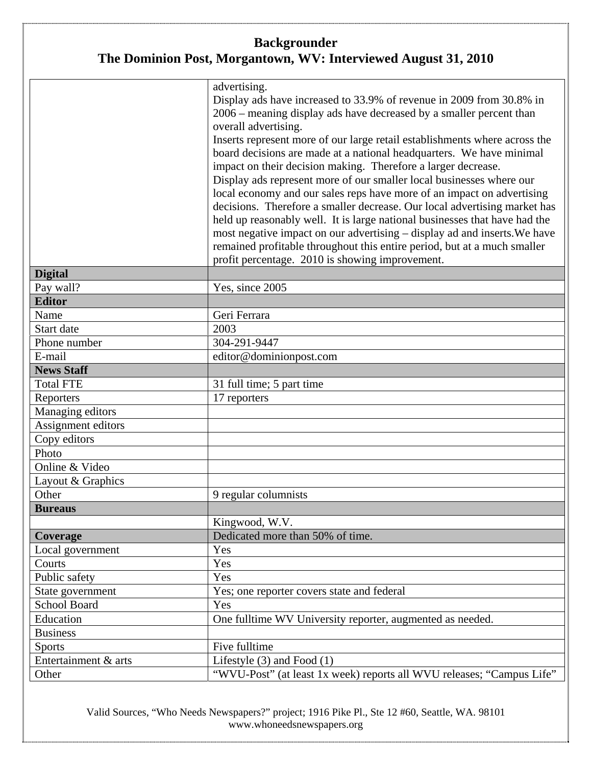|                      | advertising.<br>Display ads have increased to 33.9% of revenue in 2009 from 30.8% in<br>2006 – meaning display ads have decreased by a smaller percent than<br>overall advertising.<br>Inserts represent more of our large retail establishments where across the<br>board decisions are made at a national headquarters. We have minimal<br>impact on their decision making. Therefore a larger decrease.                                                                                                            |
|----------------------|-----------------------------------------------------------------------------------------------------------------------------------------------------------------------------------------------------------------------------------------------------------------------------------------------------------------------------------------------------------------------------------------------------------------------------------------------------------------------------------------------------------------------|
|                      | Display ads represent more of our smaller local businesses where our<br>local economy and our sales reps have more of an impact on advertising<br>decisions. Therefore a smaller decrease. Our local advertising market has<br>held up reasonably well. It is large national businesses that have had the<br>most negative impact on our advertising - display ad and inserts. We have<br>remained profitable throughout this entire period, but at a much smaller<br>profit percentage. 2010 is showing improvement. |
| <b>Digital</b>       |                                                                                                                                                                                                                                                                                                                                                                                                                                                                                                                       |
| Pay wall?            | Yes, since 2005                                                                                                                                                                                                                                                                                                                                                                                                                                                                                                       |
| <b>Editor</b>        |                                                                                                                                                                                                                                                                                                                                                                                                                                                                                                                       |
| Name                 | Geri Ferrara                                                                                                                                                                                                                                                                                                                                                                                                                                                                                                          |
| Start date           | 2003                                                                                                                                                                                                                                                                                                                                                                                                                                                                                                                  |
| Phone number         | 304-291-9447                                                                                                                                                                                                                                                                                                                                                                                                                                                                                                          |
| E-mail               | editor@dominionpost.com                                                                                                                                                                                                                                                                                                                                                                                                                                                                                               |
| <b>News Staff</b>    |                                                                                                                                                                                                                                                                                                                                                                                                                                                                                                                       |
| <b>Total FTE</b>     | 31 full time; 5 part time                                                                                                                                                                                                                                                                                                                                                                                                                                                                                             |
| Reporters            | 17 reporters                                                                                                                                                                                                                                                                                                                                                                                                                                                                                                          |
| Managing editors     |                                                                                                                                                                                                                                                                                                                                                                                                                                                                                                                       |
| Assignment editors   |                                                                                                                                                                                                                                                                                                                                                                                                                                                                                                                       |
| Copy editors         |                                                                                                                                                                                                                                                                                                                                                                                                                                                                                                                       |
| Photo                |                                                                                                                                                                                                                                                                                                                                                                                                                                                                                                                       |
| Online & Video       |                                                                                                                                                                                                                                                                                                                                                                                                                                                                                                                       |
| Layout & Graphics    |                                                                                                                                                                                                                                                                                                                                                                                                                                                                                                                       |
| Other                | 9 regular columnists                                                                                                                                                                                                                                                                                                                                                                                                                                                                                                  |
| <b>Bureaus</b>       |                                                                                                                                                                                                                                                                                                                                                                                                                                                                                                                       |
|                      | Kingwood, W.V.                                                                                                                                                                                                                                                                                                                                                                                                                                                                                                        |
| Coverage             | Dedicated more than 50% of time.                                                                                                                                                                                                                                                                                                                                                                                                                                                                                      |
| Local government     | Yes                                                                                                                                                                                                                                                                                                                                                                                                                                                                                                                   |
| Courts               | Yes                                                                                                                                                                                                                                                                                                                                                                                                                                                                                                                   |
| Public safety        | Yes                                                                                                                                                                                                                                                                                                                                                                                                                                                                                                                   |
| State government     | Yes; one reporter covers state and federal                                                                                                                                                                                                                                                                                                                                                                                                                                                                            |
| <b>School Board</b>  | Yes                                                                                                                                                                                                                                                                                                                                                                                                                                                                                                                   |
| Education            | One fulltime WV University reporter, augmented as needed.                                                                                                                                                                                                                                                                                                                                                                                                                                                             |
| <b>Business</b>      |                                                                                                                                                                                                                                                                                                                                                                                                                                                                                                                       |
| <b>Sports</b>        | Five fulltime                                                                                                                                                                                                                                                                                                                                                                                                                                                                                                         |
| Entertainment & arts | Lifestyle $(3)$ and Food $(1)$                                                                                                                                                                                                                                                                                                                                                                                                                                                                                        |
| Other                | "WVU-Post" (at least 1x week) reports all WVU releases; "Campus Life"                                                                                                                                                                                                                                                                                                                                                                                                                                                 |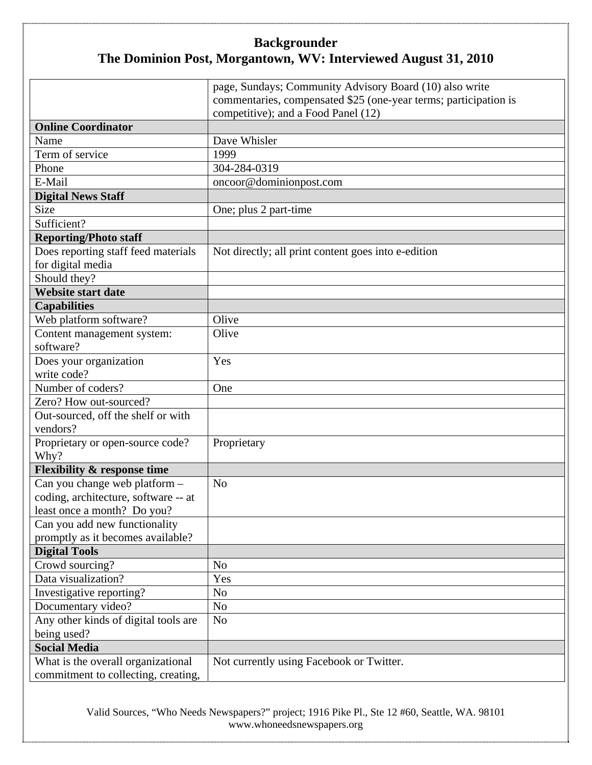|                                        | page, Sundays; Community Advisory Board (10) also write          |
|----------------------------------------|------------------------------------------------------------------|
|                                        | commentaries, compensated \$25 (one-year terms; participation is |
|                                        | competitive); and a Food Panel (12)                              |
| <b>Online Coordinator</b>              |                                                                  |
| Name                                   | Dave Whisler                                                     |
| Term of service                        | 1999                                                             |
| Phone                                  | 304-284-0319                                                     |
| E-Mail                                 | oncoor@dominionpost.com                                          |
| <b>Digital News Staff</b>              |                                                                  |
| Size                                   | One; plus 2 part-time                                            |
| Sufficient?                            |                                                                  |
| <b>Reporting/Photo staff</b>           |                                                                  |
| Does reporting staff feed materials    | Not directly; all print content goes into e-edition              |
| for digital media                      |                                                                  |
| Should they?                           |                                                                  |
| <b>Website start date</b>              |                                                                  |
| <b>Capabilities</b>                    |                                                                  |
| Web platform software?                 | Olive                                                            |
| Content management system:             | Olive                                                            |
| software?                              |                                                                  |
| Does your organization                 | Yes                                                              |
| write code?                            |                                                                  |
| Number of coders?                      | One                                                              |
| Zero? How out-sourced?                 |                                                                  |
| Out-sourced, off the shelf or with     |                                                                  |
| vendors?                               |                                                                  |
| Proprietary or open-source code?       | Proprietary                                                      |
| Why?                                   |                                                                  |
| <b>Flexibility &amp; response time</b> |                                                                  |
| Can you change web platform -          | N <sub>o</sub>                                                   |
| coding, architecture, software -- at   |                                                                  |
| least once a month? Do you?            |                                                                  |
| Can you add new functionality          |                                                                  |
| promptly as it becomes available?      |                                                                  |
| <b>Digital Tools</b>                   |                                                                  |
| Crowd sourcing?                        | N <sub>o</sub>                                                   |
| Data visualization?                    | Yes                                                              |
| Investigative reporting?               | N <sub>0</sub>                                                   |
| Documentary video?                     | N <sub>o</sub>                                                   |
| Any other kinds of digital tools are   | N <sub>o</sub>                                                   |
| being used?                            |                                                                  |
| <b>Social Media</b>                    |                                                                  |
| What is the overall organizational     | Not currently using Facebook or Twitter.                         |
| commitment to collecting, creating,    |                                                                  |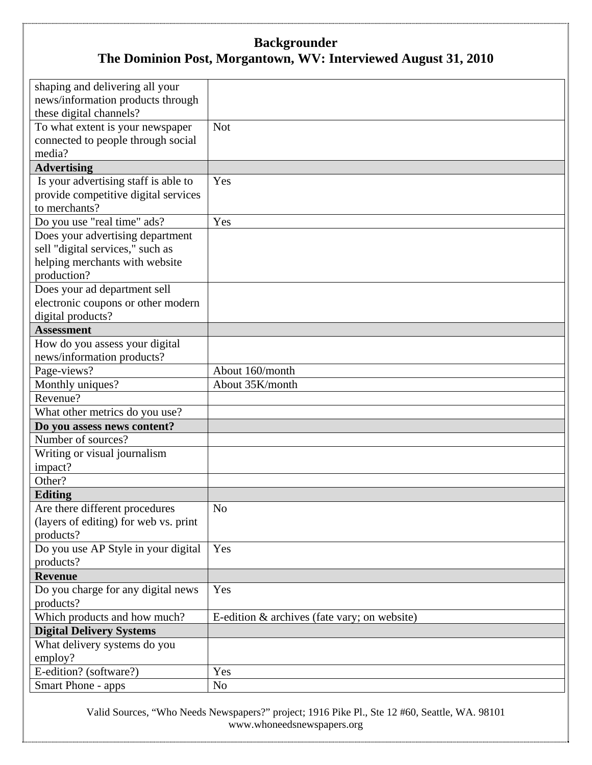| shaping and delivering all your                       |                                              |
|-------------------------------------------------------|----------------------------------------------|
| news/information products through                     |                                              |
| these digital channels?                               |                                              |
| To what extent is your newspaper                      | <b>Not</b>                                   |
| connected to people through social                    |                                              |
| media?                                                |                                              |
| <b>Advertising</b>                                    |                                              |
|                                                       | Yes                                          |
| Is your advertising staff is able to                  |                                              |
| provide competitive digital services<br>to merchants? |                                              |
|                                                       |                                              |
| Do you use "real time" ads?                           | Yes                                          |
| Does your advertising department                      |                                              |
| sell "digital services," such as                      |                                              |
| helping merchants with website                        |                                              |
| production?                                           |                                              |
| Does your ad department sell                          |                                              |
| electronic coupons or other modern                    |                                              |
| digital products?                                     |                                              |
| <b>Assessment</b>                                     |                                              |
| How do you assess your digital                        |                                              |
| news/information products?                            |                                              |
| Page-views?                                           | About 160/month                              |
| Monthly uniques?                                      | About 35K/month                              |
| Revenue?                                              |                                              |
| What other metrics do you use?                        |                                              |
| Do you assess news content?                           |                                              |
| Number of sources?                                    |                                              |
| Writing or visual journalism                          |                                              |
| impact?                                               |                                              |
| Other?                                                |                                              |
| <b>Editing</b>                                        |                                              |
| Are there different procedures                        | No                                           |
| (layers of editing) for web vs. print                 |                                              |
| products?                                             |                                              |
| Do you use AP Style in your digital                   | Yes                                          |
| products?                                             |                                              |
| <b>Revenue</b>                                        |                                              |
| Do you charge for any digital news                    | Yes                                          |
| products?                                             |                                              |
| Which products and how much?                          | E-edition & archives (fate vary; on website) |
| <b>Digital Delivery Systems</b>                       |                                              |
| What delivery systems do you                          |                                              |
| employ?                                               |                                              |
| E-edition? (software?)                                | Yes                                          |
| Smart Phone - apps                                    | N <sub>o</sub>                               |